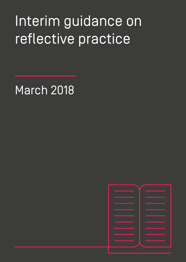# Interim guidance on reflective practice

March 2018

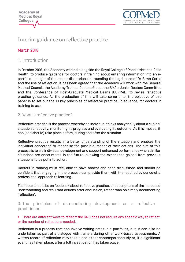

# Interim guidance on reflective practice

# March 2018

# 1. Introduction

In October 2016, the Academy worked alongside the Royal College of Paediatrics and Child Health, to produce guidance for doctors in training about entering information into an eportfolio. In light of the recent discussions surrounding the legal case of Dr Bawa Garba and the use of reflection, it has been agreed that the Academy will work with the General Medical Council, the Academy Trainee Doctors Group, the BMA's Junior Doctors Committee and the Conference of Post-Graduate Medical Deans (COPMeD) to revise reflective practice guidance. As the production of this will take some time, the objective of this paper is to set out the 10 key principles of reflective practice, in advance, for doctors in training to use.

### 2. What is reflective practice?

Reflective practice is the process whereby an individual thinks analytically about a clinical situation or activity, monitoring its progress and evaluating its outcome. As this implies, it can (and should) take place before, during and after the situation.

Reflective practice results in a better understanding of the situation and enables the individual concerned to recognise the possible impact of their actions. The aim of this process is to aid individual development and support enhanced performance when similar situations are encountered in the future, allowing the experience gained from previous situations to be put into action.

Doctors in training must feel able to have honest and open discussions and should be confident that engaging in the process can provide them with the required evidence of a professional approach to learning.

The focus should be on feedback about reflective practice, or descriptions of the increased understanding and resultant actions after discussion, rather than on simply documenting 'reflection'.

## 3. The principles of demonstrating development as a reflective practitioner:

#### ■ There are different ways to reflect: the GMC does not require any specific way to reflect or the number of reflections needed.

Reflection is a process that can involve writing notes in e-portfolios, but, it can also be undertaken as part of a dialogue with trainers during other work-based assessments. A written record of reflection may take place either contemporaneously or, if a significant event has taken place, after a full investigation has taken place.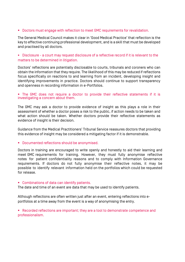#### **• Doctors must engage with reflection to meet GMC requirements for revalidation.**

The General Medical Council makes it clear in 'Good Medical Practice' that reflection is the key to effective continuing professional development, and is a skill that must be developed and practised by all doctors.

#### • Disclosure - a court may request disclosure of a reflective record if it is relevant to the matters to be determined in litigation.

Doctors' reflections are potentially disclosable to courts, tribunals and coroners who can obtain the information that they require. The likelihood of this may be reduced if reflections focus specifically on reactions to and learning from an incident, developing insight and identifying improvements in practice. Doctors should continue to support transparency and openness in recording information in e-Portfolios.

#### • The GMC does not require a doctor to provide their reflective statements if it is investigating a concern about them.

The GMC may ask a doctor to provide evidence of insight as this plays a role in their assessment of whether a doctor poses a risk to the public, if action needs to be taken and what action should be taken. Whether doctors provide their reflective statements as evidence of insight is their decision.

Guidance from the Medical Practitioners' Tribunal Service reassures doctors that providing this evidence of insight may be considered a mitigating factor if it is demonstrable.

#### ■ Documented reflections should be anonymised.

Doctors in training are encouraged to write openly and honestly to aid their learning and meet GMC requirements for training. However, they must fully anonymise reflective notes for patient confidentiality reasons and to comply with Information Governance requirements. If doctors do not fully anonymise their reflective notes, it may be possible to identify relevant information held on the portfolios which could be requested for release.

#### ■ Combinations of data can identify patients.

The date and time of an event are data that may be used to identify patients.

Although reflections are often written just after an event, entering reflections into eportfolios at a time away from the event is a way of anonymising the entry.

§ Recorded reflections are important; they are a tool to demonstrate competence and professionalism.